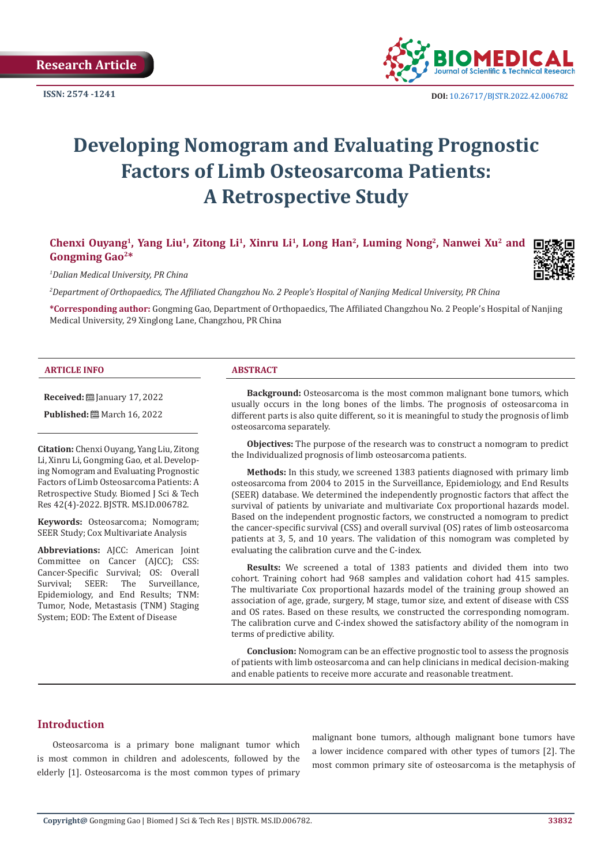

**ISSN:** 2574 -1241 **DOI:** [10.26717/BJSTR.2022.42.006782](https://dx.doi.org/10.26717/BJSTR.2022.42.006782)

# **Developing Nomogram and Evaluating Prognostic Factors of Limb Osteosarcoma Patients: A Retrospective Study**

# **Chenxi Ouyang1, Yang Liu1, Zitong Li1, Xinru Li1, Long Han2, Luming Nong2, Nanwei Xu2 and Gongming Gao2\***

*1 Dalian Medical University, PR China*

*2 Department of Orthopaedics, The Affiliated Changzhou No. 2 People's Hospital of Nanjing Medical University, PR China*

**\*Corresponding author:** Gongming Gao, Department of Orthopaedics, The Affiliated Changzhou No. 2 People's Hospital of Nanjing Medical University, 29 Xinglong Lane, Changzhou, PR China

#### **ARTICLE INFO ABSTRACT**

**Received:** January 17, 2022

**Published:** ■ March 16, 2022

**Citation:** Chenxi Ouyang, Yang Liu, Zitong Li, Xinru Li, Gongming Gao, et al. Developing Nomogram and Evaluating Prognostic Factors of Limb Osteosarcoma Patients: A Retrospective Study. Biomed J Sci & Tech Res 42(4)-2022. BJSTR. MS.ID.006782.

**Keywords:** Osteosarcoma; Nomogram; SEER Study; Cox Multivariate Analysis

**Abbreviations:** AJCC: American Joint Committee on Cancer (AJCC); CSS: Cancer-Specific Survival; OS: Overall<br>Survival; SEER: The Surveillance, The Surveillance, Epidemiology, and End Results; TNM: Tumor, Node, Metastasis (TNM) Staging System; EOD: The Extent of Disease

**Background:** Osteosarcoma is the most common malignant bone tumors, which usually occurs in the long bones of the limbs. The prognosis of osteosarcoma in different parts is also quite different, so it is meaningful to study the prognosis of limb osteosarcoma separately.

**Objectives:** The purpose of the research was to construct a nomogram to predict the Individualized prognosis of limb osteosarcoma patients.

**Methods:** In this study, we screened 1383 patients diagnosed with primary limb osteosarcoma from 2004 to 2015 in the Surveillance, Epidemiology, and End Results (SEER) database. We determined the independently prognostic factors that affect the survival of patients by univariate and multivariate Cox proportional hazards model. Based on the independent prognostic factors, we constructed a nomogram to predict the cancer-specific survival (CSS) and overall survival (OS) rates of limb osteosarcoma patients at 3, 5, and 10 years. The validation of this nomogram was completed by evaluating the calibration curve and the C-index.

**Results:** We screened a total of 1383 patients and divided them into two cohort. Training cohort had 968 samples and validation cohort had 415 samples. The multivariate Cox proportional hazards model of the training group showed an association of age, grade, surgery, M stage, tumor size, and extent of disease with CSS and OS rates. Based on these results, we constructed the corresponding nomogram. The calibration curve and C-index showed the satisfactory ability of the nomogram in terms of predictive ability.

**Conclusion:** Nomogram can be an effective prognostic tool to assess the prognosis of patients with limb osteosarcoma and can help clinicians in medical decision-making and enable patients to receive more accurate and reasonable treatment.

# **Introduction**

Osteosarcoma is a primary bone malignant tumor which is most common in children and adolescents, followed by the elderly [1]. Osteosarcoma is the most common types of primary malignant bone tumors, although malignant bone tumors have a lower incidence compared with other types of tumors [2]. The most common primary site of osteosarcoma is the metaphysis of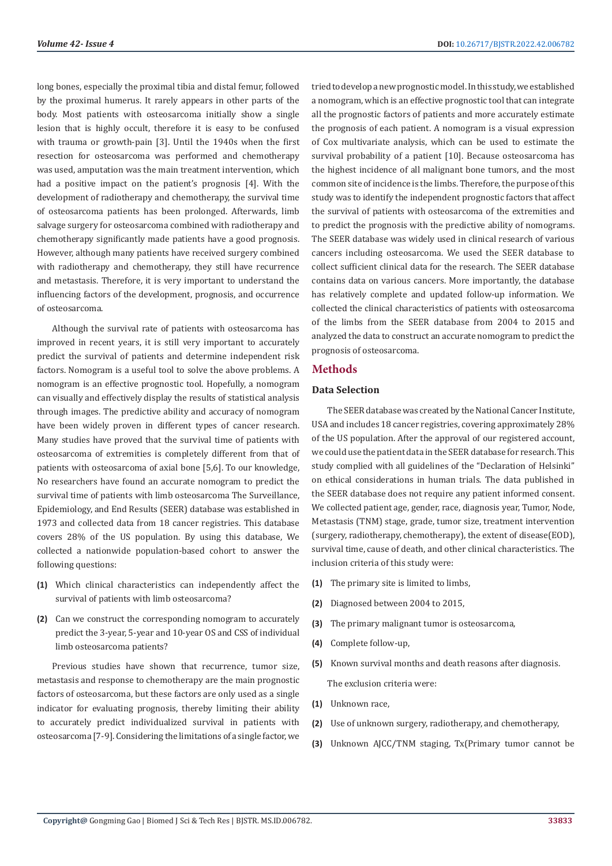long bones, especially the proximal tibia and distal femur, followed by the proximal humerus. It rarely appears in other parts of the body. Most patients with osteosarcoma initially show a single lesion that is highly occult, therefore it is easy to be confused with trauma or growth-pain [3]. Until the 1940s when the first resection for osteosarcoma was performed and chemotherapy was used, amputation was the main treatment intervention, which had a positive impact on the patient's prognosis [4]. With the development of radiotherapy and chemotherapy, the survival time of osteosarcoma patients has been prolonged. Afterwards, limb salvage surgery for osteosarcoma combined with radiotherapy and chemotherapy significantly made patients have a good prognosis. However, although many patients have received surgery combined with radiotherapy and chemotherapy, they still have recurrence and metastasis. Therefore, it is very important to understand the influencing factors of the development, prognosis, and occurrence of osteosarcoma.

Although the survival rate of patients with osteosarcoma has improved in recent years, it is still very important to accurately predict the survival of patients and determine independent risk factors. Nomogram is a useful tool to solve the above problems. A nomogram is an effective prognostic tool. Hopefully, a nomogram can visually and effectively display the results of statistical analysis through images. The predictive ability and accuracy of nomogram have been widely proven in different types of cancer research. Many studies have proved that the survival time of patients with osteosarcoma of extremities is completely different from that of patients with osteosarcoma of axial bone [5,6]. To our knowledge, No researchers have found an accurate nomogram to predict the survival time of patients with limb osteosarcoma The Surveillance, Epidemiology, and End Results (SEER) database was established in 1973 and collected data from 18 cancer registries. This database covers 28% of the US population. By using this database, We collected a nationwide population-based cohort to answer the following questions:

- **(1)** Which clinical characteristics can independently affect the survival of patients with limb osteosarcoma?
- **(2)** Can we construct the corresponding nomogram to accurately predict the 3-year, 5-year and 10-year OS and CSS of individual limb osteosarcoma patients?

Previous studies have shown that recurrence, tumor size, metastasis and response to chemotherapy are the main prognostic factors of osteosarcoma, but these factors are only used as a single indicator for evaluating prognosis, thereby limiting their ability to accurately predict individualized survival in patients with osteosarcoma [7-9]. Considering the limitations of a single factor, we

tried to develop a new prognostic model. In this study, we established a nomogram, which is an effective prognostic tool that can integrate all the prognostic factors of patients and more accurately estimate the prognosis of each patient. A nomogram is a visual expression of Cox multivariate analysis, which can be used to estimate the survival probability of a patient [10]. Because osteosarcoma has the highest incidence of all malignant bone tumors, and the most common site of incidence is the limbs. Therefore, the purpose of this study was to identify the independent prognostic factors that affect the survival of patients with osteosarcoma of the extremities and to predict the prognosis with the predictive ability of nomograms. The SEER database was widely used in clinical research of various cancers including osteosarcoma. We used the SEER database to collect sufficient clinical data for the research. The SEER database contains data on various cancers. More importantly, the database has relatively complete and updated follow-up information. We collected the clinical characteristics of patients with osteosarcoma of the limbs from the SEER database from 2004 to 2015 and analyzed the data to construct an accurate nomogram to predict the prognosis of osteosarcoma.

#### **Methods**

#### **Data Selection**

The SEER database was created by the National Cancer Institute, USA and includes 18 cancer registries, covering approximately 28% of the US population. After the approval of our registered account, we could use the patient data in the SEER database for research. This study complied with all guidelines of the "Declaration of Helsinki" on ethical considerations in human trials. The data published in the SEER database does not require any patient informed consent. We collected patient age, gender, race, diagnosis year, Tumor, Node, Metastasis (TNM) stage, grade, tumor size, treatment intervention (surgery, radiotherapy, chemotherapy), the extent of disease(EOD), survival time, cause of death, and other clinical characteristics. The inclusion criteria of this study were:

- **(1)** The primary site is limited to limbs,
- **(2)** Diagnosed between 2004 to 2015,
- **(3)** The primary malignant tumor is osteosarcoma,
- **(4)** Complete follow-up,
- **(5)** Known survival months and death reasons after diagnosis. The exclusion criteria were:
- **(1)** Unknown race,
- **(2)** Use of unknown surgery, radiotherapy, and chemotherapy,
- **(3)** Unknown AJCC/TNM staging, Tx(Primary tumor cannot be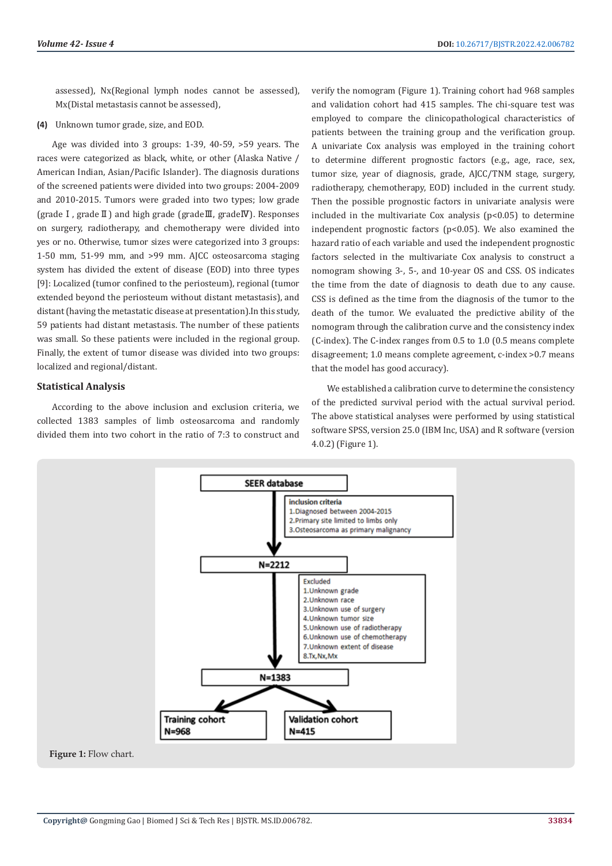assessed), Nx(Regional lymph nodes cannot be assessed), Mx(Distal metastasis cannot be assessed),

**(4)** Unknown tumor grade, size, and EOD.

Age was divided into 3 groups: 1-39, 40-59, >59 years. The races were categorized as black, white, or other (Alaska Native / American Indian, Asian/Pacific Islander). The diagnosis durations of the screened patients were divided into two groups: 2004-2009 and 2010-2015. Tumors were graded into two types; low grade (gradeⅠ, gradeⅡ) and high grade (gradeⅢ, gradeⅣ). Responses on surgery, radiotherapy, and chemotherapy were divided into yes or no. Otherwise, tumor sizes were categorized into 3 groups: 1-50 mm, 51-99 mm, and >99 mm. AJCC osteosarcoma staging system has divided the extent of disease (EOD) into three types [9]: Localized (tumor confined to the periosteum), regional (tumor extended beyond the periosteum without distant metastasis), and distant (having the metastatic disease at presentation).In this study, 59 patients had distant metastasis. The number of these patients was small. So these patients were included in the regional group. Finally, the extent of tumor disease was divided into two groups: localized and regional/distant.

#### **Statistical Analysis**

According to the above inclusion and exclusion criteria, we collected 1383 samples of limb osteosarcoma and randomly divided them into two cohort in the ratio of 7:3 to construct and

verify the nomogram (Figure 1). Training cohort had 968 samples and validation cohort had 415 samples. The chi-square test was employed to compare the clinicopathological characteristics of patients between the training group and the verification group. A univariate Cox analysis was employed in the training cohort to determine different prognostic factors (e.g., age, race, sex, tumor size, year of diagnosis, grade, AJCC/TNM stage, surgery, radiotherapy, chemotherapy, EOD) included in the current study. Then the possible prognostic factors in univariate analysis were included in the multivariate Cox analysis  $(p<0.05)$  to determine independent prognostic factors (p<0.05). We also examined the hazard ratio of each variable and used the independent prognostic factors selected in the multivariate Cox analysis to construct a nomogram showing 3-, 5-, and 10-year OS and CSS. OS indicates the time from the date of diagnosis to death due to any cause. CSS is defined as the time from the diagnosis of the tumor to the death of the tumor. We evaluated the predictive ability of the nomogram through the calibration curve and the consistency index (C-index). The C-index ranges from 0.5 to 1.0 (0.5 means complete disagreement; 1.0 means complete agreement, c-index >0.7 means that the model has good accuracy).

We established a calibration curve to determine the consistency of the predicted survival period with the actual survival period. The above statistical analyses were performed by using statistical software SPSS, version 25.0 (IBM Inc, USA) and R software (version 4.0.2) (Figure 1).

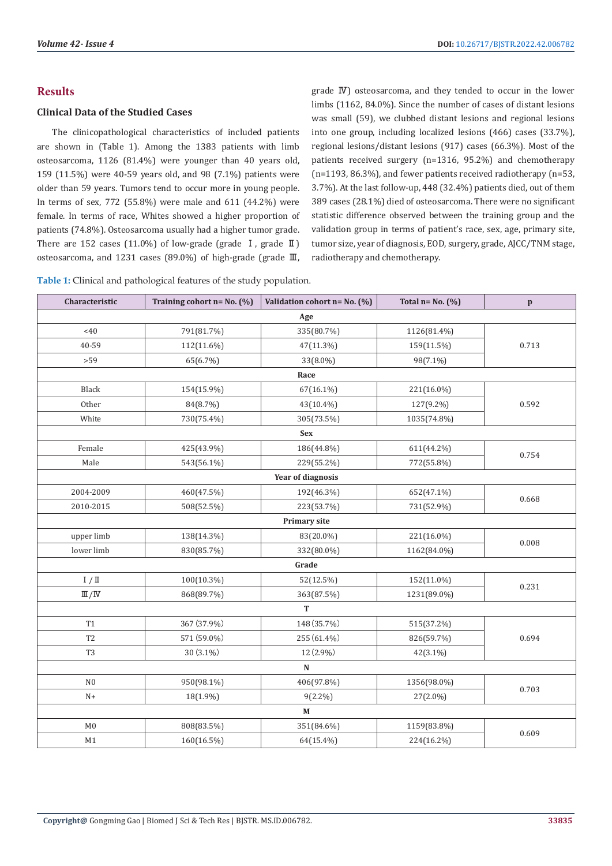# **Results**

# **Clinical Data of the Studied Cases**

The clinicopathological characteristics of included patients are shown in (Table 1). Among the 1383 patients with limb osteosarcoma, 1126 (81.4%) were younger than 40 years old, 159 (11.5%) were 40-59 years old, and 98 (7.1%) patients were older than 59 years. Tumors tend to occur more in young people. In terms of sex, 772 (55.8%) were male and 611 (44.2%) were female. In terms of race, Whites showed a higher proportion of patients (74.8%). Osteosarcoma usually had a higher tumor grade. There are 152 cases (11.0%) of low-grade (grade  $I$ , grade  $I$ ) osteosarcoma, and 1231 cases (89.0%) of high-grade (grade Ⅲ,

grade Ⅳ) osteosarcoma, and they tended to occur in the lower limbs (1162, 84.0%). Since the number of cases of distant lesions was small (59), we clubbed distant lesions and regional lesions into one group, including localized lesions (466) cases (33.7%), regional lesions/distant lesions (917) cases (66.3%). Most of the patients received surgery (n=1316, 95.2%) and chemotherapy (n=1193, 86.3%), and fewer patients received radiotherapy (n=53, 3.7%). At the last follow-up, 448 (32.4%) patients died, out of them 389 cases (28.1%) died of osteosarcoma. There were no significant statistic difference observed between the training group and the validation group in terms of patient's race, sex, age, primary site, tumor size, year of diagnosis, EOD, surgery, grade, AJCC/TNM stage, radiotherapy and chemotherapy.

**Table 1:** Clinical and pathological features of the study population.

| Characteristic           | Training cohort $n = No. (%)$ | Validation cohort n= No. (%) | Total $n = No. (%)$ | $\mathbf{p}$ |  |  |
|--------------------------|-------------------------------|------------------------------|---------------------|--------------|--|--|
| Age                      |                               |                              |                     |              |  |  |
| <40                      | 791(81.7%)                    | 335(80.7%)                   | 1126(81.4%)         |              |  |  |
| 40-59                    | 112(11.6%)                    | 47(11.3%)                    | 159(11.5%)          | 0.713        |  |  |
| >59                      | 65(6.7%)                      | 33(8.0%)                     | 98(7.1%)            |              |  |  |
| Race                     |                               |                              |                     |              |  |  |
| Black                    | 154(15.9%)                    | $67(16.1\%)$                 | 221(16.0%)          |              |  |  |
| Other                    | 84(8.7%)                      | 43(10.4%)                    | 127(9.2%)           | 0.592        |  |  |
| White                    | 730(75.4%)                    | 305(73.5%)                   | 1035(74.8%)         |              |  |  |
|                          |                               | <b>Sex</b>                   |                     |              |  |  |
| Female                   | 425(43.9%)                    | 186(44.8%)                   | 611(44.2%)          | 0.754        |  |  |
| Male                     | 543(56.1%)                    | 229(55.2%)                   | 772(55.8%)          |              |  |  |
|                          |                               | Year of diagnosis            |                     |              |  |  |
| 2004-2009                | 460(47.5%)                    | 192(46.3%)                   | 652(47.1%)          | 0.668        |  |  |
| 2010-2015                | 508(52.5%)                    | 223(53.7%)                   | 731(52.9%)          |              |  |  |
|                          |                               | <b>Primary site</b>          |                     |              |  |  |
| upper limb               | 138(14.3%)                    | 83(20.0%)                    | 221(16.0%)          | 0.008        |  |  |
| lower limb               | 830(85.7%)                    | 332(80.0%)                   | 1162(84.0%)         |              |  |  |
|                          |                               | Grade                        |                     |              |  |  |
| I / II                   | 100(10.3%)                    | 52(12.5%)                    | 152(11.0%)          | 0.231        |  |  |
| $\mathbb{II}/\mathbb{N}$ | 868(89.7%)                    | 363(87.5%)                   | 1231(89.0%)         |              |  |  |
|                          |                               | T                            |                     |              |  |  |
| T1                       | 367 (37.9%)                   | 148 (35.7%)                  | 515(37.2%)          |              |  |  |
| T <sub>2</sub>           | 571 (59.0%)                   | 255 (61.4%)                  | 826(59.7%)          | 0.694        |  |  |
| T <sub>3</sub>           | 30 (3.1%)                     | 12 (2.9%)                    | 42(3.1%)            |              |  |  |
|                          |                               | N                            |                     |              |  |  |
| N <sub>0</sub>           | 950(98.1%)                    | 406(97.8%)                   | 1356(98.0%)         | 0.703        |  |  |
| $N+$                     | 18(1.9%)                      | $9(2.2\%)$                   | 27(2.0%)            |              |  |  |
|                          |                               | $\mathbf{M}$                 |                     |              |  |  |
| $_{\rm M0}$              | 808(83.5%)                    | 351(84.6%)                   | 1159(83.8%)         | 0.609        |  |  |
| M1                       | 160(16.5%)                    | 64(15.4%)                    | 224(16.2%)          |              |  |  |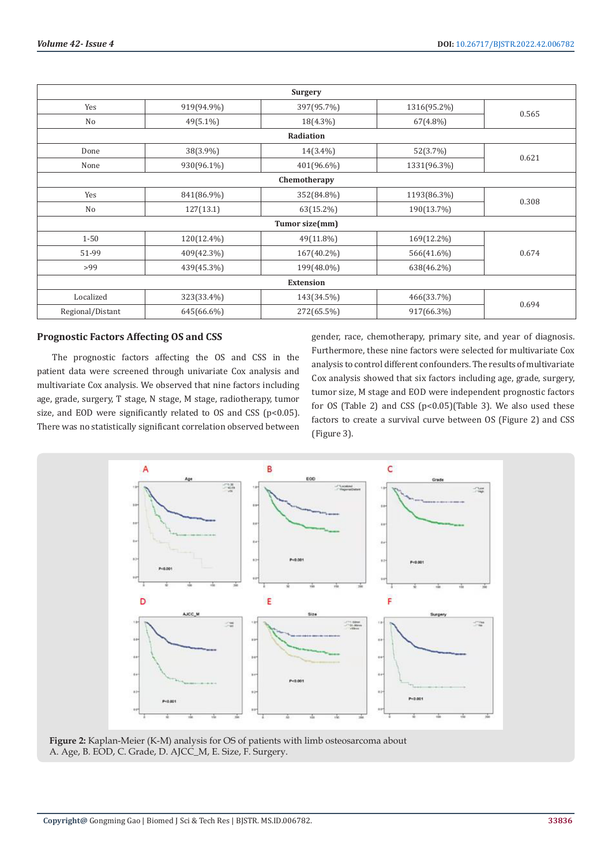|                  |             | Surgery        |             |       |  |
|------------------|-------------|----------------|-------------|-------|--|
| Yes              | 919(94.9%)  | 397(95.7%)     | 1316(95.2%) |       |  |
| No               | $49(5.1\%)$ | $18(4.3\%)$    | $67(4.8\%)$ | 0.565 |  |
| Radiation        |             |                |             |       |  |
| Done             | 38(3.9%)    | $14(3.4\%)$    | 52(3.7%)    | 0.621 |  |
| None             | 930(96.1%)  | 401(96.6%)     | 1331(96.3%) |       |  |
| Chemotherapy     |             |                |             |       |  |
| Yes              | 841(86.9%)  | 352(84.8%)     | 1193(86.3%) | 0.308 |  |
| No               | 127(13.1)   | 63(15.2%)      | 190(13.7%)  |       |  |
|                  |             | Tumor size(mm) |             |       |  |
| $1 - 50$         | 120(12.4%)  | 49(11.8%)      | 169(12.2%)  |       |  |
| 51-99            | 409(42.3%)  | $167(40.2\%)$  | 566(41.6%)  | 0.674 |  |
| >99              | 439(45.3%)  | 199(48.0%)     | 638(46.2%)  |       |  |
| <b>Extension</b> |             |                |             |       |  |
| Localized        | 323(33.4%)  | 143(34.5%)     | 466(33.7%)  |       |  |
| Regional/Distant | 645(66.6%)  | 272(65.5%)     | 917(66.3%)  | 0.694 |  |

### **Prognostic Factors Affecting OS and CSS**

The prognostic factors affecting the OS and CSS in the patient data were screened through univariate Cox analysis and multivariate Cox analysis. We observed that nine factors including age, grade, surgery, T stage, N stage, M stage, radiotherapy, tumor size, and EOD were significantly related to OS and CSS (p<0.05). There was no statistically significant correlation observed between

gender, race, chemotherapy, primary site, and year of diagnosis. Furthermore, these nine factors were selected for multivariate Cox analysis to control different confounders. The results of multivariate Cox analysis showed that six factors including age, grade, surgery, tumor size, M stage and EOD were independent prognostic factors for OS (Table 2) and CSS (p<0.05)(Table 3). We also used these factors to create a survival curve between OS (Figure 2) and CSS (Figure 3).



**Figure 2:** Kaplan-Meier (K-M) analysis for OS of patients with limb osteosarcoma about A. Age, B. EOD, C. Grade, D. AJCC\_M, E. Size, F. Surgery.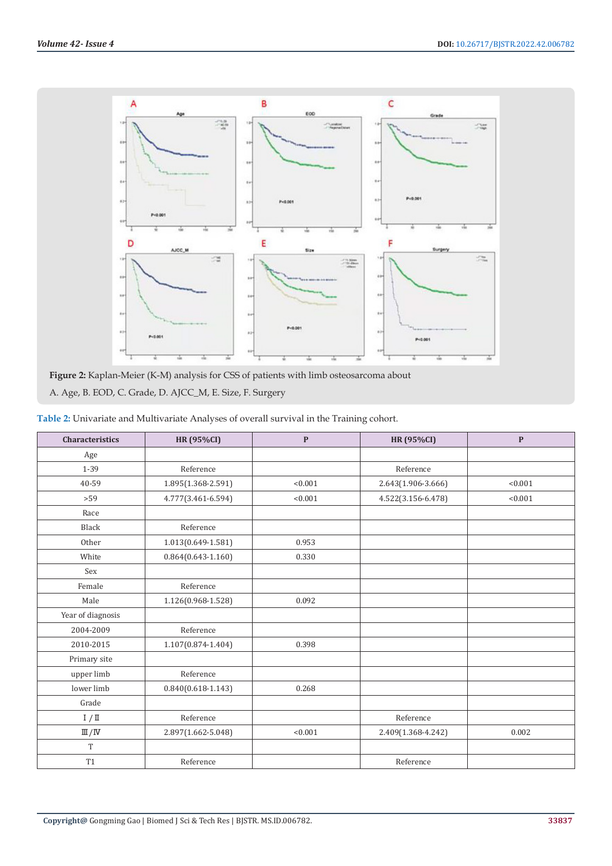

**Figure 2:** Kaplan-Meier (K-M) analysis for CSS of patients with limb osteosarcoma about A. Age, B. EOD, C. Grade, D. AJCC\_M, E. Size, F. Surgery

| Table 2: Univariate and Multivariate Analyses of overall survival in the Training cohort. |  |  |
|-------------------------------------------------------------------------------------------|--|--|
|                                                                                           |  |  |

| <b>Characteristics</b>   | <b>HR (95%CI)</b>      | $\mathbf{P}$ | <b>HR (95%CI)</b>  | $\mathbf{P}$ |
|--------------------------|------------------------|--------------|--------------------|--------------|
| Age                      |                        |              |                    |              |
| 1-39                     | Reference              |              | Reference          |              |
| 40-59                    | 1.895(1.368-2.591)     | < 0.001      | 2.643(1.906-3.666) | < 0.001      |
| >59                      | 4.777(3.461-6.594)     | < 0.001      | 4.522(3.156-6.478) | < 0.001      |
| Race                     |                        |              |                    |              |
| <b>Black</b>             | Reference              |              |                    |              |
| Other                    | 1.013(0.649-1.581)     | 0.953        |                    |              |
| White                    | $0.864(0.643 - 1.160)$ | 0.330        |                    |              |
| Sex                      |                        |              |                    |              |
| Female                   | Reference              |              |                    |              |
| Male                     | 1.126(0.968-1.528)     | 0.092        |                    |              |
| Year of diagnosis        |                        |              |                    |              |
| 2004-2009                | Reference              |              |                    |              |
| 2010-2015                | 1.107(0.874-1.404)     | 0.398        |                    |              |
| Primary site             |                        |              |                    |              |
| upper limb               | Reference              |              |                    |              |
| lower limb               | $0.840(0.618 - 1.143)$ | 0.268        |                    |              |
| Grade                    |                        |              |                    |              |
| I / II                   | Reference              |              | Reference          |              |
| $\mathbb{II}/\mathbb{N}$ | 2.897(1.662-5.048)     | < 0.001      | 2.409(1.368-4.242) | 0.002        |
| T                        |                        |              |                    |              |
| <b>T1</b>                | Reference              |              | Reference          |              |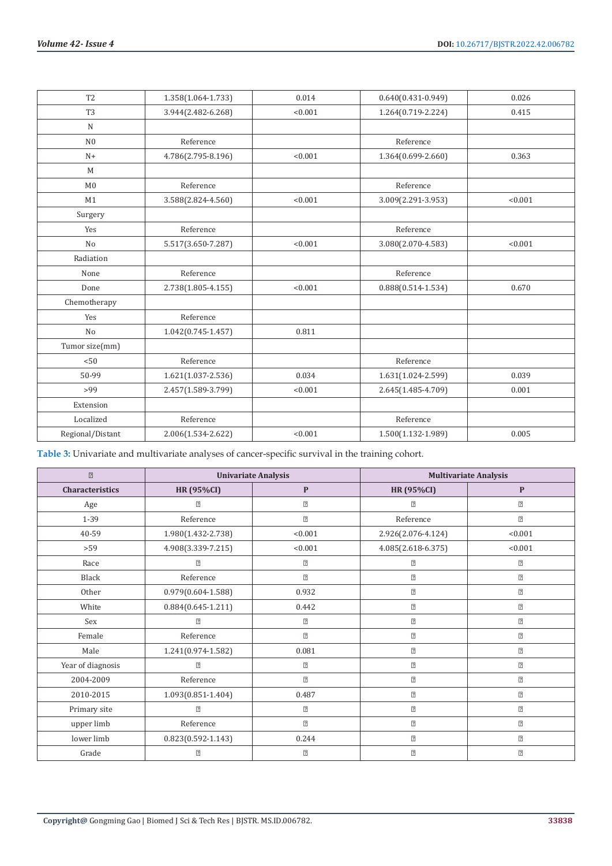| T <sub>2</sub>   | 1.358(1.064-1.733)     | 0.014   | $0.640(0.431 - 0.949)$ | 0.026   |
|------------------|------------------------|---------|------------------------|---------|
| T <sub>3</sub>   | 3.944(2.482-6.268)     | < 0.001 | 1.264(0.719-2.224)     | 0.415   |
| $\mathbf N$      |                        |         |                        |         |
| N <sub>0</sub>   | Reference              |         | Reference              |         |
| $N+$             | 4.786(2.795-8.196)     | < 0.001 | 1.364(0.699-2.660)     | 0.363   |
| M                |                        |         |                        |         |
| M <sub>0</sub>   | Reference              |         | Reference              |         |
| M1               | 3.588(2.824-4.560)     | < 0.001 | 3.009(2.291-3.953)     | < 0.001 |
| Surgery          |                        |         |                        |         |
| Yes              | Reference              |         | Reference              |         |
| N <sub>o</sub>   | 5.517(3.650-7.287)     | < 0.001 | 3.080(2.070-4.583)     | < 0.001 |
| Radiation        |                        |         |                        |         |
| None             | Reference              |         | Reference              |         |
| Done             | $2.738(1.805 - 4.155)$ | < 0.001 | $0.888(0.514 - 1.534)$ | 0.670   |
| Chemotherapy     |                        |         |                        |         |
| Yes              | Reference              |         |                        |         |
| No               | $1.042(0.745 - 1.457)$ | 0.811   |                        |         |
| Tumor size(mm)   |                        |         |                        |         |
| < 50             | Reference              |         | Reference              |         |
| 50-99            | $1.621(1.037 - 2.536)$ | 0.034   | 1.631(1.024-2.599)     | 0.039   |
| >99              | 2.457(1.589-3.799)     | < 0.001 | 2.645(1.485-4.709)     | 0.001   |
| Extension        |                        |         |                        |         |
| Localized        | Reference              |         | Reference              |         |
| Regional/Distant | 2.006(1.534-2.622)     | < 0.001 | 1.500(1.132-1.989)     | 0.005   |

**Table 3:** Univariate and multivariate analyses of cancer-specific survival in the training cohort.

| $\boxed{2}$       | <b>Univariate Analysis</b> |                |                                                                                                                                                                                                                                                                                                                                                                                                                                                                                                                                                                                                                                                                                                                                                                                                                                                                                                                                                                 | <b>Multivariate Analysis</b> |
|-------------------|----------------------------|----------------|-----------------------------------------------------------------------------------------------------------------------------------------------------------------------------------------------------------------------------------------------------------------------------------------------------------------------------------------------------------------------------------------------------------------------------------------------------------------------------------------------------------------------------------------------------------------------------------------------------------------------------------------------------------------------------------------------------------------------------------------------------------------------------------------------------------------------------------------------------------------------------------------------------------------------------------------------------------------|------------------------------|
| Characteristics   | <b>HR (95%CI)</b>          | $\mathbf{P}$   | <b>HR (95%CI)</b>                                                                                                                                                                                                                                                                                                                                                                                                                                                                                                                                                                                                                                                                                                                                                                                                                                                                                                                                               | P                            |
| Age               | $\overline{2}$             | $\boxed{2}$    | $\boxed{2}$                                                                                                                                                                                                                                                                                                                                                                                                                                                                                                                                                                                                                                                                                                                                                                                                                                                                                                                                                     | $\boxed{2}$                  |
| $1 - 39$          | Reference                  | $\overline{2}$ | Reference                                                                                                                                                                                                                                                                                                                                                                                                                                                                                                                                                                                                                                                                                                                                                                                                                                                                                                                                                       | $\boxed{2}$                  |
| 40-59             | 1.980(1.432-2.738)         | < 0.001        | 2.926(2.076-4.124)                                                                                                                                                                                                                                                                                                                                                                                                                                                                                                                                                                                                                                                                                                                                                                                                                                                                                                                                              | < 0.001                      |
| $>59$             | 4.908(3.339-7.215)         | < 0.001        | 4.085(2.618-6.375)                                                                                                                                                                                                                                                                                                                                                                                                                                                                                                                                                                                                                                                                                                                                                                                                                                                                                                                                              | < 0.001                      |
| Race              | $\overline{?}$             | $\overline{?}$ | $\boxed{2}$                                                                                                                                                                                                                                                                                                                                                                                                                                                                                                                                                                                                                                                                                                                                                                                                                                                                                                                                                     | $\boxed{2}$                  |
| <b>Black</b>      | Reference                  | $\overline{2}$ | $\boxed{2}$                                                                                                                                                                                                                                                                                                                                                                                                                                                                                                                                                                                                                                                                                                                                                                                                                                                                                                                                                     | $\boxed{2}$                  |
| Other             | $0.979(0.604 - 1.588)$     | 0.932          | $\boxed{2}$                                                                                                                                                                                                                                                                                                                                                                                                                                                                                                                                                                                                                                                                                                                                                                                                                                                                                                                                                     | $\boxed{2}$                  |
| White             | $0.884(0.645 - 1.211)$     | 0.442          | $\boxed{2}$                                                                                                                                                                                                                                                                                                                                                                                                                                                                                                                                                                                                                                                                                                                                                                                                                                                                                                                                                     | $\boxed{2}$                  |
| Sex               | $\boxed{2}$                | $\overline{2}$ | $[2] \centering% \includegraphics[width=1.0\textwidth]{Figures/PD1.png} \caption{The 3D (black) model with the same parameters. The blue line shows the number of times, and the blue line shows the number of times, and the blue line shows the number of times, and the blue line shows the number of times, and the blue line shows the number of times, and the blue line shows the number of times, and the blue line shows the number of times, and the blue line shows the number of times, and the blue line shows the number of times, and the blue line shows the number of times, and the blue line shows the number of times, and the blue line shows the number of times, and the blue line shows the number of times, and the blue line shows the number of times, and the blue line shows the number of times, and the blue line shows the number of times, and the blue line shows the number of times, and the blue line shows the number of$ | $\boxed{2}$                  |
| Female            | Reference                  | $\overline{2}$ | $[2] \centering% \includegraphics[width=1.0\textwidth]{Figures/PD1.png} \caption{The 3D (black) model with the same parameters. The blue line shows the number of times, and the blue line shows the number of times, and the blue line shows the number of times, and the blue line shows the number of times, and the blue line shows the number of times, and the blue line shows the number of times, and the blue line shows the number of times, and the blue line shows the number of times, and the blue line shows the number of times, and the blue line shows the number of times, and the blue line shows the number of times, and the blue line shows the number of times, and the blue line shows the number of times, and the blue line shows the number of times, and the blue line shows the number of times, and the blue line shows the number of times, and the blue line shows the number of times, and the blue line shows the number of$ | $\boxed{2}$                  |
| Male              | 1.241(0.974-1.582)         | 0.081          | $\boxed{2}$                                                                                                                                                                                                                                                                                                                                                                                                                                                                                                                                                                                                                                                                                                                                                                                                                                                                                                                                                     | $\boxed{2}$                  |
| Year of diagnosis | $\overline{2}$             | $\boxed{2}$    | $\boxed{2}$                                                                                                                                                                                                                                                                                                                                                                                                                                                                                                                                                                                                                                                                                                                                                                                                                                                                                                                                                     | $\boxed{2}$                  |
| 2004-2009         | Reference                  | $\overline{2}$ | $\boxed{2}$                                                                                                                                                                                                                                                                                                                                                                                                                                                                                                                                                                                                                                                                                                                                                                                                                                                                                                                                                     | $\boxed{2}$                  |
| 2010-2015         | 1.093(0.851-1.404)         | 0.487          | $\boxed{2}$                                                                                                                                                                                                                                                                                                                                                                                                                                                                                                                                                                                                                                                                                                                                                                                                                                                                                                                                                     | $\boxed{2}$                  |
| Primary site      | $\overline{?}$             | $\boxed{2}$    | $[2] \centering% \includegraphics[width=1.0\textwidth]{Figures/PD1.png} \caption{The 3D (black) model with the same parameters. The blue line shows the number of times, and the blue line shows the number of times, and the blue line shows the number of times, and the blue line shows the number of times, and the blue line shows the number of times, and the blue line shows the number of times, and the blue line shows the number of times, and the blue line shows the number of times, and the blue line shows the number of times, and the blue line shows the number of times, and the blue line shows the number of times, and the blue line shows the number of times, and the blue line shows the number of times, and the blue line shows the number of times, and the blue line shows the number of times, and the blue line shows the number of times, and the blue line shows the number of times, and the blue line shows the number of$ | $\boxed{2}$                  |
| upper limb        | Reference                  | $\overline{2}$ | $\boxed{2}$                                                                                                                                                                                                                                                                                                                                                                                                                                                                                                                                                                                                                                                                                                                                                                                                                                                                                                                                                     | $\boxed{2}$                  |
| lower limb        | $0.823(0.592 - 1.143)$     | 0.244          | $\boxed{2}$                                                                                                                                                                                                                                                                                                                                                                                                                                                                                                                                                                                                                                                                                                                                                                                                                                                                                                                                                     | $\boxed{2}$                  |
| Grade             | $\overline{?}$             | $\boxed{2}$    | $[2] \centering% \includegraphics[width=1.0\textwidth]{Figures/PD1.png} \caption{The 3D (black) model with the same parameters. The blue line shows the number of times, and the blue line shows the number of times, and the blue line shows the number of times, and the blue line shows the number of times, and the blue line shows the number of times, and the blue line shows the number of times, and the blue line shows the number of times, and the blue line shows the number of times, and the blue line shows the number of times, and the blue line shows the number of times, and the blue line shows the number of times, and the blue line shows the number of times, and the blue line shows the number of times, and the blue line shows the number of times, and the blue line shows the number of times, and the blue line shows the number of times, and the blue line shows the number of times, and the blue line shows the number of$ | $\boxed{2}$                  |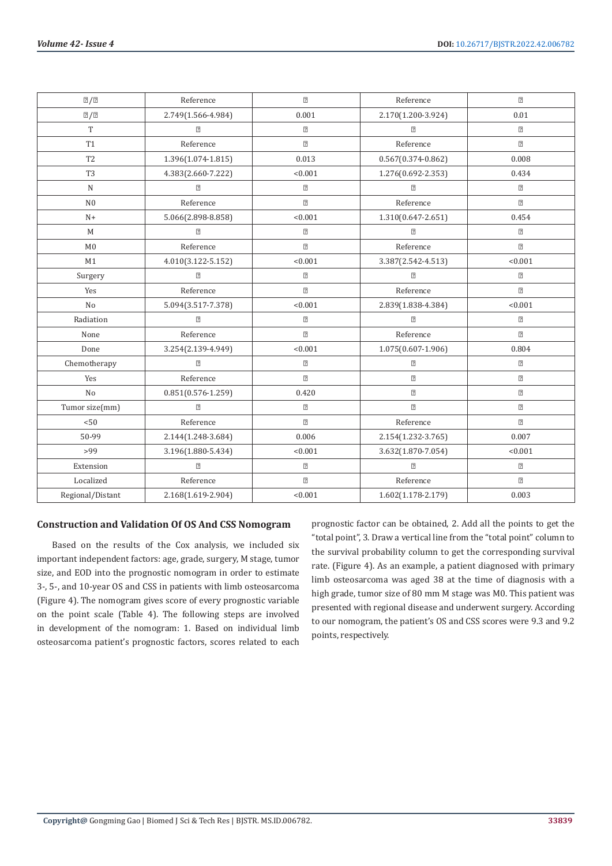| $\sqrt{2}/2$     | Reference              | $\overline{2}$ | Reference                                                                                                                                                                                                                                                                                                                                                                                                                                                                                                                                                                                                                                                                                                                                                                                                                                                                                                                                                       | $\boxed{2}$ |
|------------------|------------------------|----------------|-----------------------------------------------------------------------------------------------------------------------------------------------------------------------------------------------------------------------------------------------------------------------------------------------------------------------------------------------------------------------------------------------------------------------------------------------------------------------------------------------------------------------------------------------------------------------------------------------------------------------------------------------------------------------------------------------------------------------------------------------------------------------------------------------------------------------------------------------------------------------------------------------------------------------------------------------------------------|-------------|
| 2/2              | 2.749(1.566-4.984)     | 0.001          | 2.170(1.200-3.924)                                                                                                                                                                                                                                                                                                                                                                                                                                                                                                                                                                                                                                                                                                                                                                                                                                                                                                                                              | 0.01        |
| T                | $\boxed{2}$            | $\boxed{2}$    | $\boxed{2}$                                                                                                                                                                                                                                                                                                                                                                                                                                                                                                                                                                                                                                                                                                                                                                                                                                                                                                                                                     | $\boxed{2}$ |
| <b>T1</b>        | Reference              | $\overline{2}$ | Reference                                                                                                                                                                                                                                                                                                                                                                                                                                                                                                                                                                                                                                                                                                                                                                                                                                                                                                                                                       | $\boxed{2}$ |
| T <sub>2</sub>   | 1.396(1.074-1.815)     | 0.013          | $0.567(0.374 - 0.862)$                                                                                                                                                                                                                                                                                                                                                                                                                                                                                                                                                                                                                                                                                                                                                                                                                                                                                                                                          | 0.008       |
| T <sub>3</sub>   | 4.383(2.660-7.222)     | < 0.001        | 1.276(0.692-2.353)                                                                                                                                                                                                                                                                                                                                                                                                                                                                                                                                                                                                                                                                                                                                                                                                                                                                                                                                              | 0.434       |
| $\mathbf N$      | $\boxed{2}$            | $\boxed{2}$    | $\boxed{2}$                                                                                                                                                                                                                                                                                                                                                                                                                                                                                                                                                                                                                                                                                                                                                                                                                                                                                                                                                     | $\sqrt{2}$  |
| N <sub>0</sub>   | Reference              | $\overline{2}$ | Reference                                                                                                                                                                                                                                                                                                                                                                                                                                                                                                                                                                                                                                                                                                                                                                                                                                                                                                                                                       | $\boxed{2}$ |
| $N+$             | 5.066(2.898-8.858)     | < 0.001        | 1.310(0.647-2.651)                                                                                                                                                                                                                                                                                                                                                                                                                                                                                                                                                                                                                                                                                                                                                                                                                                                                                                                                              | 0.454       |
| M                | $\boxed{2}$            | $\overline{?}$ | $\boxed{2}$                                                                                                                                                                                                                                                                                                                                                                                                                                                                                                                                                                                                                                                                                                                                                                                                                                                                                                                                                     | $\sqrt{2}$  |
| M <sub>0</sub>   | Reference              | $\overline{2}$ | Reference                                                                                                                                                                                                                                                                                                                                                                                                                                                                                                                                                                                                                                                                                                                                                                                                                                                                                                                                                       | $\boxed{2}$ |
| M1               | 4.010(3.122-5.152)     | < 0.001        | 3.387(2.542-4.513)                                                                                                                                                                                                                                                                                                                                                                                                                                                                                                                                                                                                                                                                                                                                                                                                                                                                                                                                              | < 0.001     |
| Surgery          | $\sqrt{2}$             | $\overline{2}$ | $\boxed{?}$                                                                                                                                                                                                                                                                                                                                                                                                                                                                                                                                                                                                                                                                                                                                                                                                                                                                                                                                                     | $\boxed{2}$ |
| Yes              | Reference              | $\overline{2}$ | Reference                                                                                                                                                                                                                                                                                                                                                                                                                                                                                                                                                                                                                                                                                                                                                                                                                                                                                                                                                       | $\boxed{2}$ |
| N <sub>o</sub>   | 5.094(3.517-7.378)     | < 0.001        | 2.839(1.838-4.384)                                                                                                                                                                                                                                                                                                                                                                                                                                                                                                                                                                                                                                                                                                                                                                                                                                                                                                                                              | < 0.001     |
| Radiation        | $\boxed{?}$            | $\overline{2}$ | $\boxed{?}$                                                                                                                                                                                                                                                                                                                                                                                                                                                                                                                                                                                                                                                                                                                                                                                                                                                                                                                                                     | $\boxed{2}$ |
| None             | Reference              | $\boxed{7}$    | Reference                                                                                                                                                                                                                                                                                                                                                                                                                                                                                                                                                                                                                                                                                                                                                                                                                                                                                                                                                       | $\boxed{2}$ |
| Done             | 3.254(2.139-4.949)     | < 0.001        | 1.075(0.607-1.906)                                                                                                                                                                                                                                                                                                                                                                                                                                                                                                                                                                                                                                                                                                                                                                                                                                                                                                                                              | 0.804       |
| Chemotherapy     | $\boxed{2}$            | $\boxed{2}$    | $\boxed{2}$                                                                                                                                                                                                                                                                                                                                                                                                                                                                                                                                                                                                                                                                                                                                                                                                                                                                                                                                                     | $\boxed{2}$ |
| Yes              | Reference              | $\overline{2}$ | $\boxed{2}$                                                                                                                                                                                                                                                                                                                                                                                                                                                                                                                                                                                                                                                                                                                                                                                                                                                                                                                                                     | $\boxed{2}$ |
| N <sub>o</sub>   | $0.851(0.576 - 1.259)$ | 0.420          | $\boxed{2}$                                                                                                                                                                                                                                                                                                                                                                                                                                                                                                                                                                                                                                                                                                                                                                                                                                                                                                                                                     | $\boxed{2}$ |
| Tumor size(mm)   | $\boxed{2}$            | $\overline{?}$ | $[2] \centering% \includegraphics[width=1.0\textwidth]{Figures/PN1.png} \caption{The 3D (black) model with the same parameters. The blue line shows the number of times, and the blue line shows the number of times, and the blue line shows the number of times, and the blue line shows the number of times, and the blue line shows the number of times, and the blue line shows the number of times, and the blue line shows the number of times, and the blue line shows the number of times, and the blue line shows the number of times, and the blue line shows the number of times, and the blue line shows the number of times, and the blue line shows the number of times, and the blue line shows the number of times, and the blue line shows the number of times, and the blue line shows the number of times, and the blue line shows the number of times, and the blue line shows the number of times, and the blue line shows the number of$ | $\boxed{2}$ |
| < 50             | Reference              | $\boxed{2}$    | Reference                                                                                                                                                                                                                                                                                                                                                                                                                                                                                                                                                                                                                                                                                                                                                                                                                                                                                                                                                       | $\boxed{2}$ |
| 50-99            | 2.144(1.248-3.684)     | 0.006          | 2.154(1.232-3.765)                                                                                                                                                                                                                                                                                                                                                                                                                                                                                                                                                                                                                                                                                                                                                                                                                                                                                                                                              | 0.007       |
| >99              | 3.196(1.880-5.434)     | < 0.001        | 3.632(1.870-7.054)                                                                                                                                                                                                                                                                                                                                                                                                                                                                                                                                                                                                                                                                                                                                                                                                                                                                                                                                              | < 0.001     |
| Extension        | $\boxed{2}$            | $\overline{?}$ | $[2] \centering% \includegraphics[width=1.0\textwidth]{Figures/PD1.png} \caption{The 3D (black) model with the same parameters. The blue line shows the number of times, and the blue line shows the number of times, and the blue line shows the number of times, and the blue line shows the number of times, and the blue line shows the number of times, and the blue line shows the number of times, and the blue line shows the number of times, and the blue line shows the number of times, and the blue line shows the number of times, and the blue line shows the number of times, and the blue line shows the number of times, and the blue line shows the number of times, and the blue line shows the number of times, and the blue line shows the number of times, and the blue line shows the number of times, and the blue line shows the number of times, and the blue line shows the number of times, and the blue line shows the number of$ | $\boxed{2}$ |
| Localized        | Reference              | $\overline{2}$ | Reference                                                                                                                                                                                                                                                                                                                                                                                                                                                                                                                                                                                                                                                                                                                                                                                                                                                                                                                                                       | $\boxed{2}$ |
| Regional/Distant | 2.168(1.619-2.904)     | < 0.001        | 1.602(1.178-2.179)                                                                                                                                                                                                                                                                                                                                                                                                                                                                                                                                                                                                                                                                                                                                                                                                                                                                                                                                              | 0.003       |

#### **Construction and Validation Of OS And CSS Nomogram**

Based on the results of the Cox analysis, we included six important independent factors: age, grade, surgery, M stage, tumor size, and EOD into the prognostic nomogram in order to estimate 3-, 5-, and 10-year OS and CSS in patients with limb osteosarcoma (Figure 4). The nomogram gives score of every prognostic variable on the point scale (Table 4). The following steps are involved in development of the nomogram: 1. Based on individual limb osteosarcoma patient's prognostic factors, scores related to each

prognostic factor can be obtained, 2. Add all the points to get the "total point", 3. Draw a vertical line from the "total point" column to the survival probability column to get the corresponding survival rate. (Figure 4). As an example, a patient diagnosed with primary limb osteosarcoma was aged 38 at the time of diagnosis with a high grade, tumor size of 80 mm M stage was M0. This patient was presented with regional disease and underwent surgery. According to our nomogram, the patient's OS and CSS scores were 9.3 and 9.2 points, respectively.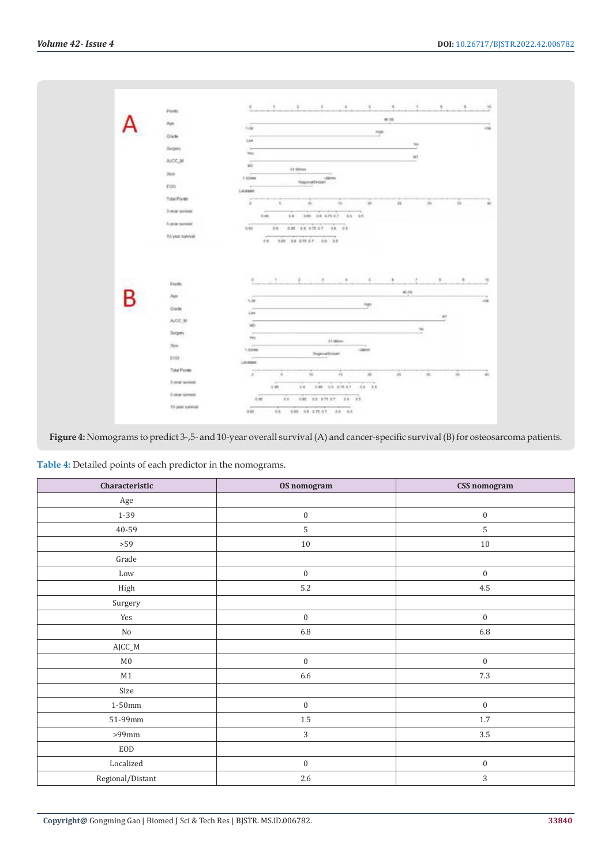|       | Ports                            |                                                                                                            |                               |                        | 45.59           |                 |              |              |
|-------|----------------------------------|------------------------------------------------------------------------------------------------------------|-------------------------------|------------------------|-----------------|-----------------|--------------|--------------|
|       | Apt                              | $1 - 30$                                                                                                   |                               |                        |                 |                 |              | 500          |
|       | Orade                            |                                                                                                            |                               | mps                    |                 |                 |              |              |
|       | Sugary                           | Later                                                                                                      |                               |                        | 30 <sub>0</sub> |                 |              |              |
|       |                                  | Yes.                                                                                                       |                               |                        | MI              |                 |              |              |
|       | AICC.M                           | <b>Villa</b><br>M6                                                                                         | 31.00mm                       |                        |                 |                 |              |              |
|       | (42)                             | 1-blows                                                                                                    |                               |                        |                 |                 |              |              |
|       | EOD:                             | $\frac{1}{2} \left( \frac{1}{2} \right) \left( \frac{1}{2} \right) \left( \frac{1}{2} \right)$<br>Location | Repositions:                  |                        |                 |                 |              |              |
|       | Total Points                     |                                                                                                            |                               |                        |                 |                 |              |              |
|       | 3 year sayyar.                   | $\overline{a}$<br>$\sim$                                                                                   | 10                            | 30<br>15               | $25\,$          | 30 <sup>°</sup> | 15           | 40           |
|       |                                  | 6.95                                                                                                       | 385 38 87517 64 35<br>$0.9 -$ |                        |                 |                 |              |              |
|       | 5-year survent                   | 3,95                                                                                                       | 08 086 08 070 07 08 05        |                        |                 |                 |              |              |
|       | 50-year-tonyind                  |                                                                                                            | 09 030 34 070 07 08 08        |                        |                 |                 |              |              |
|       |                                  |                                                                                                            |                               |                        |                 |                 |              |              |
|       | Ponts.                           | ٠                                                                                                          |                               | $\,$                   | ×               | ×               |              | $\mathbf{u}$ |
|       | <b>Age</b>                       |                                                                                                            |                               |                        | 40.08           |                 |              |              |
| P     |                                  | $3 - 38$                                                                                                   |                               | man                    |                 |                 |              |              |
| an sa | <b>Grade</b>                     | 3.04                                                                                                       |                               |                        |                 | MT.             |              |              |
|       | AICC-M                           | $\overline{a}$<br>380                                                                                      |                               |                        |                 | te.             |              |              |
|       | Skripery                         | ×<br><b>Yes</b>                                                                                            |                               |                        |                 | and in          |              |              |
|       | Ser.                             | $\sim$<br>1-50mm                                                                                           |                               | 54.00mm<br>dates.      |                 |                 |              |              |
|       | EOD:                             | ÷                                                                                                          | <b>Report Dotat</b>           |                        |                 |                 |              | 168          |
|       | <b>Total Points</b>              | License                                                                                                    |                               |                        |                 |                 |              |              |
|       |                                  | $\alpha$<br>$\mathcal{A}$                                                                                  | 78                            | $\mathbf{m}$<br>15     | 28              | $\mathcal{D}$   | $\mathbb{R}$ | $\pm 1$      |
|       | 3-year servine!                  | 6.95                                                                                                       |                               | 04 048 05 370 07 04 05 |                 |                 |              |              |
|       | 5-year tenned<br>10 year survent | 8.95                                                                                                       | 08 080 00 070 07 08 09        |                        |                 |                 |              |              |

**Figure 4:** Nomograms to predict 3-,5- and 10-year overall survival (A) and cancer-specific survival (B) for osteosarcoma patients.

| Table 4: Detailed points of each predictor in the nomograms. |  |
|--------------------------------------------------------------|--|
|--------------------------------------------------------------|--|

| Characteristic                    | OS nomogram      | CSS nomogram     |
|-----------------------------------|------------------|------------------|
| Age                               |                  |                  |
| $1 - 39$                          | $\boldsymbol{0}$ | $\boldsymbol{0}$ |
| 40-59                             | 5                | $\mathsf S$      |
| $>59$                             | $10\,$           | $10\,$           |
| Grade                             |                  |                  |
| Low                               | $\boldsymbol{0}$ | $\boldsymbol{0}$ |
| High                              | $5.2\,$          | $4.5\,$          |
| Surgery                           |                  |                  |
| Yes                               | $\boldsymbol{0}$ | $\boldsymbol{0}$ |
| $\rm No$                          | $6.8\,$          | $6.8\,$          |
| $\operatorname{\mathsf{AJCC\_M}}$ |                  |                  |
| $\rm M0$                          | $\boldsymbol{0}$ | $\boldsymbol{0}$ |
| $\mathbf{M1}$                     | 6.6              | $7.3\,$          |
| Size                              |                  |                  |
| $1-50 \mathrm{mm}$                | $\boldsymbol{0}$ | $\boldsymbol{0}$ |
| $51-99$ mm                        | $1.5\,$          | $1.7\,$          |
| $>99\mathrm{mm}$                  | 3                | $3.5\,$          |
| $\rm EOD$                         |                  |                  |
| Localized                         | $\boldsymbol{0}$ | $\boldsymbol{0}$ |
| Regional/Distant                  | $2.6\,$          | $\sqrt{3}$       |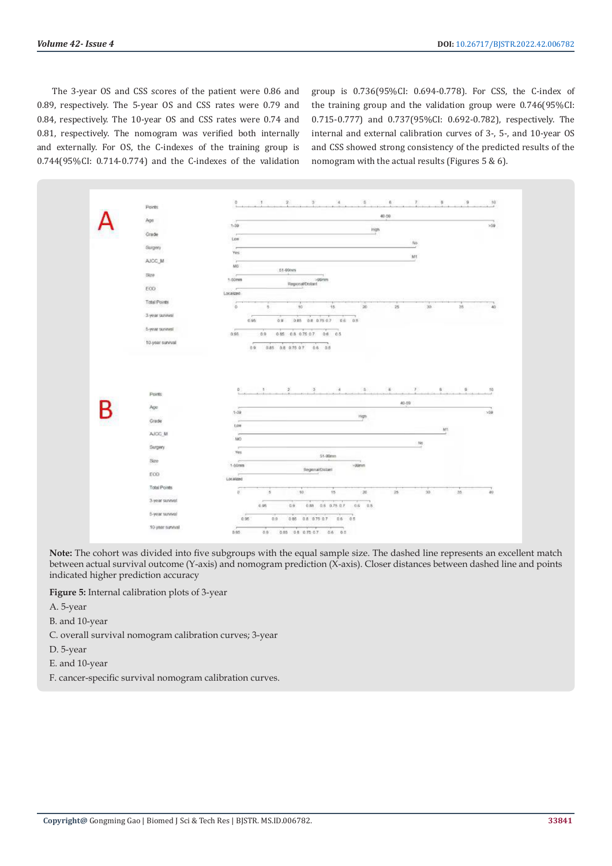The 3-year OS and CSS scores of the patient were 0.86 and 0.89, respectively. The 5-year OS and CSS rates were 0.79 and 0.84, respectively. The 10-year OS and CSS rates were 0.74 and 0.81, respectively. The nomogram was verified both internally and externally. For OS, the C-indexes of the training group is 0.744(95%CI: 0.714-0.774) and the C-indexes of the validation

group is 0.736(95%CI: 0.694-0.778). For CSS, the C-index of the training group and the validation group were 0.746(95%CI: 0.715-0.777) and 0.737(95%CI: 0.692-0.782), respectively. The internal and external calibration curves of 3-, 5-, and 10-year OS and CSS showed strong consistency of the predicted results of the nomogram with the actual results (Figures 5 & 6).



**Note:** The cohort was divided into five subgroups with the equal sample size. The dashed line represents an excellent match between actual survival outcome (Y-axis) and nomogram prediction (X-axis). Closer distances between dashed line and points indicated higher prediction accuracy

**Figure 5:** Internal calibration plots of 3-year

- A. 5-year
- B. and 10-year
- C. overall survival nomogram calibration curves; 3-year
- D. 5-year
- E. and 10-year
- F. cancer-specific survival nomogram calibration curves.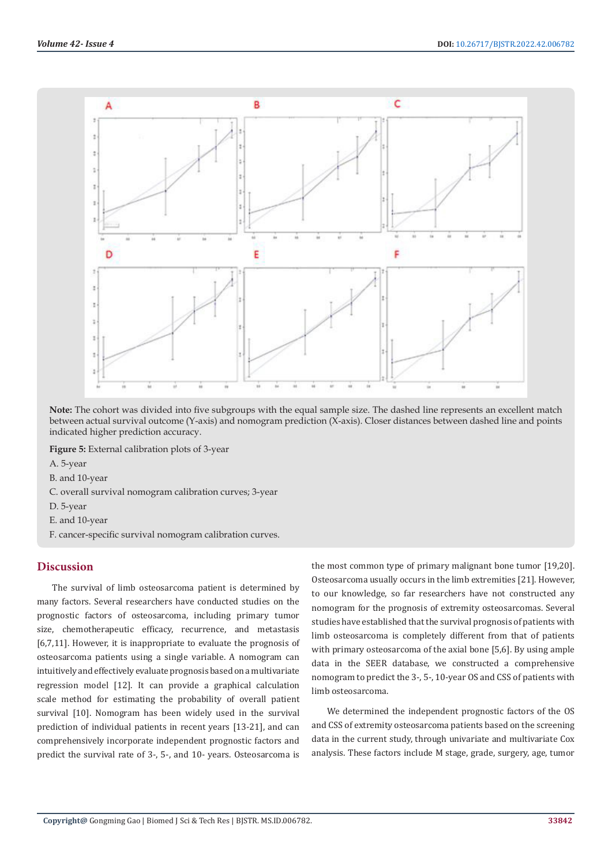

**Note:** The cohort was divided into five subgroups with the equal sample size. The dashed line represents an excellent match between actual survival outcome (Y-axis) and nomogram prediction (X-axis). Closer distances between dashed line and points indicated higher prediction accuracy.

**Figure 5:** External calibration plots of 3-year

- A. 5-year
- B. and 10-year
- C. overall survival nomogram calibration curves; 3-year
- D. 5-year
- E. and 10-year
- F. cancer-specific survival nomogram calibration curves.

#### **Discussion**

The survival of limb osteosarcoma patient is determined by many factors. Several researchers have conducted studies on the prognostic factors of osteosarcoma, including primary tumor size, chemotherapeutic efficacy, recurrence, and metastasis [6,7,11]. However, it is inappropriate to evaluate the prognosis of osteosarcoma patients using a single variable. A nomogram can intuitively and effectively evaluate prognosis based on a multivariate regression model [12]. It can provide a graphical calculation scale method for estimating the probability of overall patient survival [10]. Nomogram has been widely used in the survival prediction of individual patients in recent years [13-21], and can comprehensively incorporate independent prognostic factors and predict the survival rate of 3-, 5-, and 10- years. Osteosarcoma is

the most common type of primary malignant bone tumor [19,20]. Osteosarcoma usually occurs in the limb extremities [21]. However, to our knowledge, so far researchers have not constructed any nomogram for the prognosis of extremity osteosarcomas. Several studies have established that the survival prognosis of patients with limb osteosarcoma is completely different from that of patients with primary osteosarcoma of the axial bone [5,6]. By using ample data in the SEER database, we constructed a comprehensive nomogram to predict the 3-, 5-, 10-year OS and CSS of patients with limb osteosarcoma.

We determined the independent prognostic factors of the OS and CSS of extremity osteosarcoma patients based on the screening data in the current study, through univariate and multivariate Cox analysis. These factors include M stage, grade, surgery, age, tumor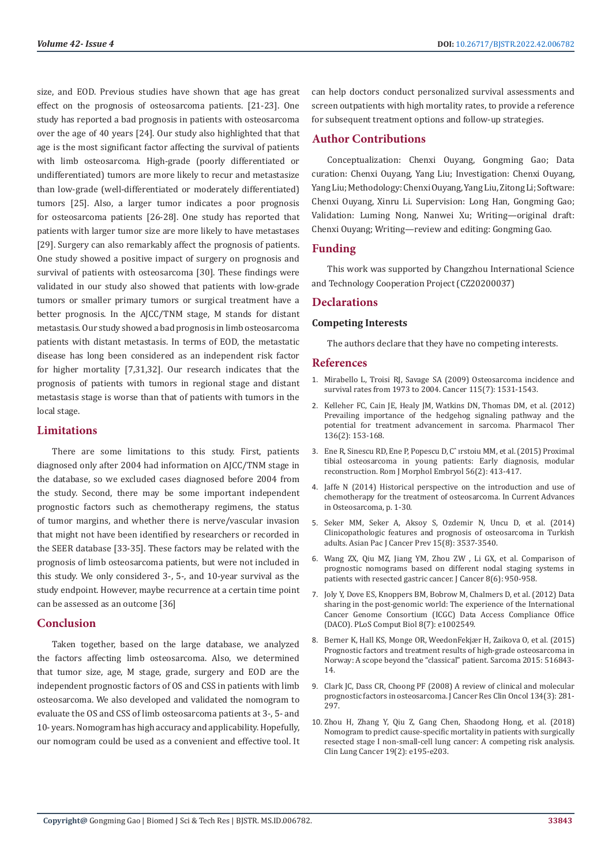size, and EOD. Previous studies have shown that age has great effect on the prognosis of osteosarcoma patients. [21-23]. One study has reported a bad prognosis in patients with osteosarcoma over the age of 40 years [24]. Our study also highlighted that that age is the most significant factor affecting the survival of patients with limb osteosarcoma. High-grade (poorly differentiated or undifferentiated) tumors are more likely to recur and metastasize than low-grade (well-differentiated or moderately differentiated) tumors [25]. Also, a larger tumor indicates a poor prognosis for osteosarcoma patients [26-28]. One study has reported that patients with larger tumor size are more likely to have metastases [29]. Surgery can also remarkably affect the prognosis of patients. One study showed a positive impact of surgery on prognosis and survival of patients with osteosarcoma [30]. These findings were validated in our study also showed that patients with low-grade tumors or smaller primary tumors or surgical treatment have a better prognosis. In the AJCC/TNM stage, M stands for distant metastasis. Our study showed a bad prognosis in limb osteosarcoma patients with distant metastasis. In terms of EOD, the metastatic disease has long been considered as an independent risk factor for higher mortality [7,31,32]. Our research indicates that the prognosis of patients with tumors in regional stage and distant metastasis stage is worse than that of patients with tumors in the local stage.

#### **Limitations**

There are some limitations to this study. First, patients diagnosed only after 2004 had information on AJCC/TNM stage in the database, so we excluded cases diagnosed before 2004 from the study. Second, there may be some important independent prognostic factors such as chemotherapy regimens, the status of tumor margins, and whether there is nerve/vascular invasion that might not have been identified by researchers or recorded in the SEER database [33-35]. These factors may be related with the prognosis of limb osteosarcoma patients, but were not included in this study. We only considered 3-, 5-, and 10-year survival as the study endpoint. However, maybe recurrence at a certain time point can be assessed as an outcome [36]

# **Conclusion**

Taken together, based on the large database, we analyzed the factors affecting limb osteosarcoma. Also, we determined that tumor size, age, M stage, grade, surgery and EOD are the independent prognostic factors of OS and CSS in patients with limb osteosarcoma. We also developed and validated the nomogram to evaluate the OS and CSS of limb osteosarcoma patients at 3-, 5- and 10- years. Nomogram has high accuracy and applicability. Hopefully, our nomogram could be used as a convenient and effective tool. It can help doctors conduct personalized survival assessments and screen outpatients with high mortality rates, to provide a reference for subsequent treatment options and follow-up strategies.

# **Author Contributions**

Conceptualization: Chenxi Ouyang, Gongming Gao; Data curation: Chenxi Ouyang, Yang Liu; Investigation: Chenxi Ouyang, Yang Liu; Methodology: Chenxi Ouyang, Yang Liu, Zitong Li; Software: Chenxi Ouyang, Xinru Li. Supervision: Long Han, Gongming Gao; Validation: Luming Nong, Nanwei Xu; Writing—original draft: Chenxi Ouyang; Writing—review and editing: Gongming Gao.

# **Funding**

This work was supported by Changzhou International Science and Technology Cooperation Project (CZ20200037)

# **Declarations**

#### **Competing Interests**

The authors declare that they have no competing interests.

#### **References**

- 1. [Mirabello L, Troisi RJ, Savage SA \(2009\) Osteosarcoma incidence and](https://pubmed.ncbi.nlm.nih.gov/19197972/) [survival rates from 1973 to 2004. Cancer 115\(7\): 1531-1543.](https://pubmed.ncbi.nlm.nih.gov/19197972/)
- 2. [Kelleher FC, Cain JE, Healy JM, Watkins DN, Thomas DM, et al. \(2012\)](https://pubmed.ncbi.nlm.nih.gov/22906929/) [Prevailing importance of the hedgehog signaling pathway and the](https://pubmed.ncbi.nlm.nih.gov/22906929/) [potential for treatment advancement in sarcoma. Pharmacol Ther](https://pubmed.ncbi.nlm.nih.gov/22906929/) [136\(2\): 153-168.](https://pubmed.ncbi.nlm.nih.gov/22906929/)
- 3. [Ene R, Sinescu RD, Ene P, Popescu D, Cˆ ırstoiu MM, et al. \(2015\) Proximal](https://pubmed.ncbi.nlm.nih.gov/26193207/) [tibial osteosarcoma in young patients: Early diagnosis,](https://pubmed.ncbi.nlm.nih.gov/26193207/) modular [reconstruction. Rom J Morphol Embryol 56\(2\): 413-417.](https://pubmed.ncbi.nlm.nih.gov/26193207/)
- 4. [Jaffe N \(2014\) Historical perspective on the introduction and use of](https://link.springer.com/chapter/10.1007/978-3-319-04843-7_1) [chemotherapy for the treatment of osteosarcoma. In Current Advances](https://link.springer.com/chapter/10.1007/978-3-319-04843-7_1) [in Osteosarcoma, p. 1-30.](https://link.springer.com/chapter/10.1007/978-3-319-04843-7_1)
- 5. [Seker MM, Seker A, Aksoy S, Ozdemir N, Uncu D, et al. \(2014\)](https://www.koreascience.or.kr/article/JAKO201418342937043.page) [Clinicopathologic features and prognosis of osteosarcoma in Turkish](https://www.koreascience.or.kr/article/JAKO201418342937043.page) [adults. Asian Pac J Cancer Prev 15\(8\): 3537-3540.](https://www.koreascience.or.kr/article/JAKO201418342937043.page)
- 6. [Wang ZX, Qiu MZ, Jiang YM, Zhou ZW , Li GX, et al. Comparison of](https://www.jcancer.org/v08p0950.htm) [prognostic nomograms based on different nodal staging systems in](https://www.jcancer.org/v08p0950.htm) [patients with resected gastric cancer. J Cancer 8\(6\): 950-958.](https://www.jcancer.org/v08p0950.htm)
- 7. [Joly Y, Dove ES, Knoppers BM, Bobrow M, Chalmers D, et al. \(2012\) Data](https://pubmed.ncbi.nlm.nih.gov/22807659/) [sharing in the post-genomic world: The experience of the International](https://pubmed.ncbi.nlm.nih.gov/22807659/) [Cancer Genome Consortium \(ICGC\) Data Access Compliance Office](https://pubmed.ncbi.nlm.nih.gov/22807659/) [\(DACO\). PLoS Comput Biol 8\(7\): e1002549.](https://pubmed.ncbi.nlm.nih.gov/22807659/)
- 8. [Berner K, Hall KS, Monge OR, WeedonFekjær H, Zaikova O, et al. \(2015\)](https://pubmed.ncbi.nlm.nih.gov/25784831/) [Prognostic factors and treatment results of high-grade osteosarcoma in](https://pubmed.ncbi.nlm.nih.gov/25784831/) [Norway: A scope beyond the "classical" patient. Sarcoma 2015: 516843-](https://pubmed.ncbi.nlm.nih.gov/25784831/) [14.](https://pubmed.ncbi.nlm.nih.gov/25784831/)
- 9. [Clark JC, Dass CR, Choong PF \(2008\) A review of clinical and molecular](https://pubmed.ncbi.nlm.nih.gov/17965883/) [prognostic factors in osteosarcoma. J Cancer Res Clin Oncol 134\(3\): 281-](https://pubmed.ncbi.nlm.nih.gov/17965883/) [297.](https://pubmed.ncbi.nlm.nih.gov/17965883/)
- 10. [Zhou H, Zhang Y, Qiu Z, Gang Chen, Shaodong Hong, et al. \(2018\)](https://pubmed.ncbi.nlm.nih.gov/29153966/) [Nomogram to predict cause-specific mortality in patients with surgically](https://pubmed.ncbi.nlm.nih.gov/29153966/) [resected stage I non-small-cell lung cancer: A competing risk analysis.](https://pubmed.ncbi.nlm.nih.gov/29153966/) [Clin Lung Cancer 19\(2\): e195-e203.](https://pubmed.ncbi.nlm.nih.gov/29153966/)